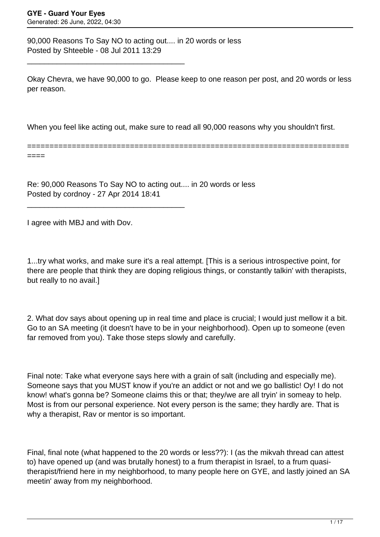90,000 Reasons To Say NO to acting out.... in 20 words or less Posted by Shteeble - 08 Jul 2011 13:29

\_\_\_\_\_\_\_\_\_\_\_\_\_\_\_\_\_\_\_\_\_\_\_\_\_\_\_\_\_\_\_\_\_\_\_\_\_

\_\_\_\_\_\_\_\_\_\_\_\_\_\_\_\_\_\_\_\_\_\_\_\_\_\_\_\_\_\_\_\_\_\_\_\_\_

Okay Chevra, we have 90,000 to go. Please keep to one reason per post, and 20 words or less per reason.

When you feel like acting out, make sure to read all 90,000 reasons why you shouldn't first.

======================================================================== ====

Re: 90,000 Reasons To Say NO to acting out.... in 20 words or less Posted by cordnoy - 27 Apr 2014 18:41

I agree with MBJ and with Dov.

1...try what works, and make sure it's a real attempt. [This is a serious introspective point, for there are people that think they are doping religious things, or constantly talkin' with therapists, but really to no avail.]

2. What dov says about opening up in real time and place is crucial; I would just mellow it a bit. Go to an SA meeting (it doesn't have to be in your neighborhood). Open up to someone (even far removed from you). Take those steps slowly and carefully.

Final note: Take what everyone says here with a grain of salt (including and especially me). Someone says that you MUST know if you're an addict or not and we go ballistic! Oy! I do not know! what's gonna be? Someone claims this or that; they/we are all tryin' in someay to help. Most is from our personal experience. Not every person is the same; they hardly are. That is why a therapist, Rav or mentor is so important.

Final, final note (what happened to the 20 words or less??): I (as the mikvah thread can attest to) have opened up (and was brutally honest) to a frum therapist in Israel, to a frum quasitherapist/friend here in my neighborhood, to many people here on GYE, and lastly joined an SA meetin' away from my neighborhood.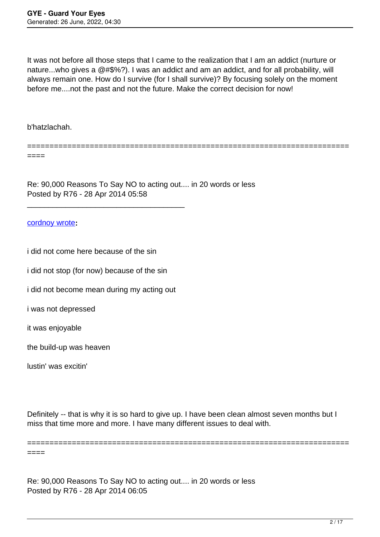It was not before all those steps that I came to the realization that I am an addict (nurture or nature...who gives a @#\$%?). I was an addict and am an addict, and for all probability, will always remain one. How do I survive (for I shall survive)? By focusing solely on the moment before me....not the past and not the future. Make the correct decision for now!

========================================================================

b'hatzlachah.

====

Re: 90,000 Reasons To Say NO to acting out.... in 20 words or less Posted by R76 - 28 Apr 2014 05:58

#### [cordnoy wrote](/forum/id-230588)**:**

i did not come here because of the sin

i did not stop (for now) because of the sin

i did not become mean during my acting out

\_\_\_\_\_\_\_\_\_\_\_\_\_\_\_\_\_\_\_\_\_\_\_\_\_\_\_\_\_\_\_\_\_\_\_\_\_

i was not depressed

it was enjoyable

the build-up was heaven

lustin' was excitin'

====

Definitely -- that is why it is so hard to give up. I have been clean almost seven months but I miss that time more and more. I have many different issues to deal with.

========================================================================

Re: 90,000 Reasons To Say NO to acting out.... in 20 words or less Posted by R76 - 28 Apr 2014 06:05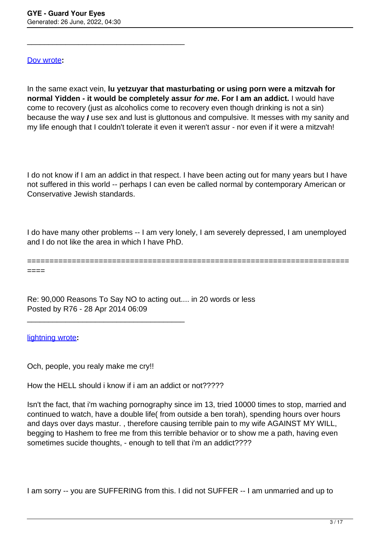\_\_\_\_\_\_\_\_\_\_\_\_\_\_\_\_\_\_\_\_\_\_\_\_\_\_\_\_\_\_\_\_\_\_\_\_\_

#### [Dov wrote](/forum/id-230630)**:**

In the same exact vein, **lu yetzuyar that masturbating or using porn were a mitzvah for normal Yidden - it would be completely assur for me. For I am an addict.** I would have come to recovery (just as alcoholics come to recovery even though drinking is not a sin) because the way **I** use sex and lust is gluttonous and compulsive. It messes with my sanity and my life enough that I couldn't tolerate it even it weren't assur - nor even if it were a mitzvah!

I do not know if I am an addict in that respect. I have been acting out for many years but I have not suffered in this world -- perhaps I can even be called normal by contemporary American or Conservative Jewish standards.

I do have many other problems -- I am very lonely, I am severely depressed, I am unemployed and I do not like the area in which I have PhD.

======================================================================== ====

Re: 90,000 Reasons To Say NO to acting out.... in 20 words or less Posted by R76 - 28 Apr 2014 06:09

[lightning wrote](/forum/id-230643)**:**

Och, people, you realy make me cry!!

\_\_\_\_\_\_\_\_\_\_\_\_\_\_\_\_\_\_\_\_\_\_\_\_\_\_\_\_\_\_\_\_\_\_\_\_\_

How the HELL should i know if i am an addict or not?????

Isn't the fact, that i'm waching pornography since im 13, tried 10000 times to stop, married and continued to watch, have a double life( from outside a ben torah), spending hours over hours and days over days mastur. , therefore causing terrible pain to my wife AGAINST MY WILL, begging to Hashem to free me from this terrible behavior or to show me a path, having even sometimes sucide thoughts, - enough to tell that i'm an addict????

I am sorry -- you are SUFFERING from this. I did not SUFFER -- I am unmarried and up to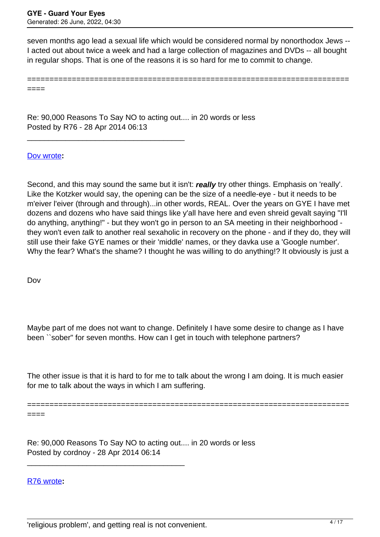seven months ago lead a sexual life which would be considered normal by nonorthodox Jews -- I acted out about twice a week and had a large collection of magazines and DVDs -- all bought in regular shops. That is one of the reasons it is so hard for me to commit to change.

========================================================================

====

Re: 90,000 Reasons To Say NO to acting out.... in 20 words or less Posted by R76 - 28 Apr 2014 06:13

\_\_\_\_\_\_\_\_\_\_\_\_\_\_\_\_\_\_\_\_\_\_\_\_\_\_\_\_\_\_\_\_\_\_\_\_\_

[Dov wrote](/forum/id-230658)**:**

Second, and this may sound the same but it isn't: **really** try other things. Emphasis on 'really'. Like the Kotzker would say, the opening can be the size of a needle-eye - but it needs to be m'eiver l'eiver (through and through)...in other words, REAL. Over the years on GYE I have met dozens and dozens who have said things like y'all have here and even shreid gevalt saying "I'll do anything, anything!" - but they won't go in person to an SA meeting in their neighborhood they won't even talk to another real sexaholic in recovery on the phone - and if they do, they will still use their fake GYE names or their 'middle' names, or they davka use a 'Google number'. Why the fear? What's the shame? I thought he was willing to do anything!? It obviously is just a

Dov

Maybe part of me does not want to change. Definitely I have some desire to change as I have been ``sober" for seven months. How can I get in touch with telephone partners?

The other issue is that it is hard to for me to talk about the wrong I am doing. It is much easier for me to talk about the ways in which I am suffering.

======================================================================== ====

Re: 90,000 Reasons To Say NO to acting out.... in 20 words or less Posted by cordnoy - 28 Apr 2014 06:14

[R76 wrote](/forum/id-230713)**:**

\_\_\_\_\_\_\_\_\_\_\_\_\_\_\_\_\_\_\_\_\_\_\_\_\_\_\_\_\_\_\_\_\_\_\_\_\_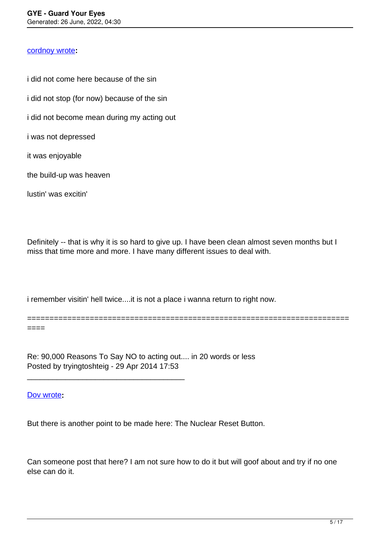#### [cordnoy wrote](/forum/id-230588)**:**

i did not come here because of the sin i did not stop (for now) because of the sin i did not become mean during my acting out i was not depressed it was enjoyable the build-up was heaven

lustin' was excitin'

Definitely -- that is why it is so hard to give up. I have been clean almost seven months but I miss that time more and more. I have many different issues to deal with.

i remember visitin' hell twice....it is not a place i wanna return to right now.

======================================================================== ====

Re: 90,000 Reasons To Say NO to acting out.... in 20 words or less Posted by tryingtoshteig - 29 Apr 2014 17:53

\_\_\_\_\_\_\_\_\_\_\_\_\_\_\_\_\_\_\_\_\_\_\_\_\_\_\_\_\_\_\_\_\_\_\_\_\_

[Dov wrote](/forum/id-230630)**:**

But there is another point to be made here: The Nuclear Reset Button.

Can someone post that here? I am not sure how to do it but will goof about and try if no one else can do it.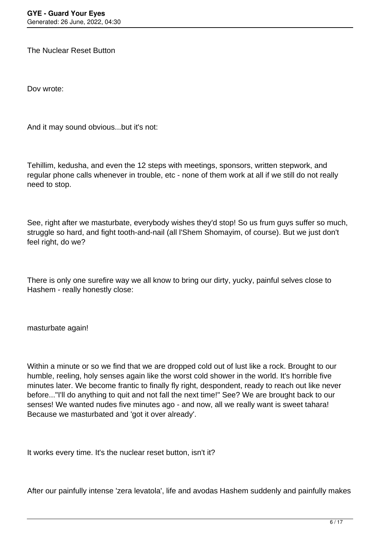The Nuclear Reset Button

Dov wrote:

And it may sound obvious...but it's not:

Tehillim, kedusha, and even the 12 steps with meetings, sponsors, written stepwork, and regular phone calls whenever in trouble, etc - none of them work at all if we still do not really need to stop.

See, right after we masturbate, everybody wishes they'd stop! So us frum guys suffer so much, struggle so hard, and fight tooth-and-nail (all l'Shem Shomayim, of course). But we just don't feel right, do we?

There is only one surefire way we all know to bring our dirty, yucky, painful selves close to Hashem - really honestly close:

masturbate again!

Within a minute or so we find that we are dropped cold out of lust like a rock. Brought to our humble, reeling, holy senses again like the worst cold shower in the world. It's horrible five minutes later. We become frantic to finally fly right, despondent, ready to reach out like never before..."I'll do anything to quit and not fall the next time!" See? We are brought back to our senses! We wanted nudes five minutes ago - and now, all we really want is sweet tahara! Because we masturbated and 'got it over already'.

It works every time. It's the nuclear reset button, isn't it?

After our painfully intense 'zera levatola', life and avodas Hashem suddenly and painfully makes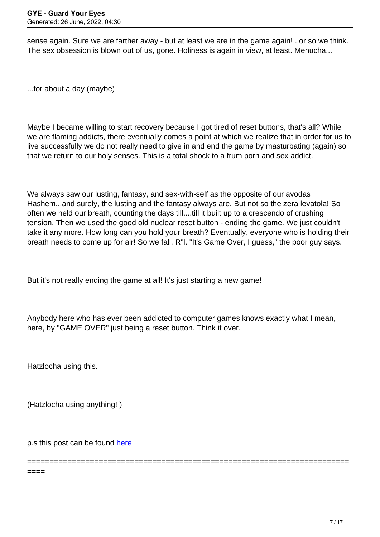sense again. Sure we are farther away - but at least we are in the game again! ..or so we think. The sex obsession is blown out of us, gone. Holiness is again in view, at least. Menucha...

...for about a day (maybe)

Maybe I became willing to start recovery because I got tired of reset buttons, that's all? While we are flaming addicts, there eventually comes a point at which we realize that in order for us to live successfully we do not really need to give in and end the game by masturbating (again) so that we return to our holy senses. This is a total shock to a frum porn and sex addict.

We always saw our lusting, fantasy, and sex-with-self as the opposite of our avodas Hashem...and surely, the lusting and the fantasy always are. But not so the zera levatola! So often we held our breath, counting the days till....till it built up to a crescendo of crushing tension. Then we used the good old nuclear reset button - ending the game. We just couldn't take it any more. How long can you hold your breath? Eventually, everyone who is holding their breath needs to come up for air! So we fall, R"l. "It's Game Over, I guess," the poor guy says.

But it's not really ending the game at all! It's just starting a new game!

Anybody here who has ever been addicted to computer games knows exactly what I mean, here, by "GAME OVER" just being a reset button. Think it over.

========================================================================

Hatzlocha using this.

====

(Hatzlocha using anything! )

p.s this post can be found [here](https://guardyoureyes.com/forum/4-On-the-Way-to-90-Days/124072-Dov-Quotes?limit=15&start=105#207886)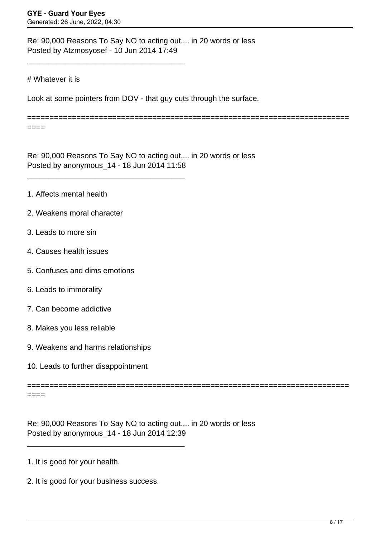Re: 90,000 Reasons To Say NO to acting out.... in 20 words or less Posted by Atzmosyosef - 10 Jun 2014 17:49

\_\_\_\_\_\_\_\_\_\_\_\_\_\_\_\_\_\_\_\_\_\_\_\_\_\_\_\_\_\_\_\_\_\_\_\_\_

\_\_\_\_\_\_\_\_\_\_\_\_\_\_\_\_\_\_\_\_\_\_\_\_\_\_\_\_\_\_\_\_\_\_\_\_\_

### # Whatever it is

====

Look at some pointers from DOV - that guy cuts through the surface.

========================================================================

Re: 90,000 Reasons To Say NO to acting out.... in 20 words or less Posted by anonymous\_14 - 18 Jun 2014 11:58

- 1. Affects mental health
- 2. Weakens moral character
- 3. Leads to more sin
- 4. Causes health issues
- 5. Confuses and dims emotions
- 6. Leads to immorality
- 7. Can become addictive
- 8. Makes you less reliable
- 9. Weakens and harms relationships
- 10. Leads to further disappointment

====

Re: 90,000 Reasons To Say NO to acting out.... in 20 words or less Posted by anonymous\_14 - 18 Jun 2014 12:39

========================================================================

- 1. It is good for your health.
- 2. It is good for your business success.

\_\_\_\_\_\_\_\_\_\_\_\_\_\_\_\_\_\_\_\_\_\_\_\_\_\_\_\_\_\_\_\_\_\_\_\_\_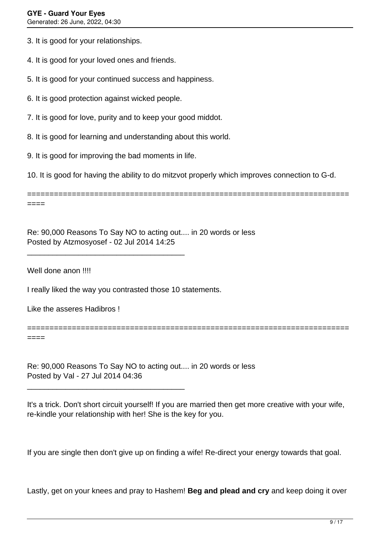3. It is good for your relationships.

4. It is good for your loved ones and friends.

5. It is good for your continued success and happiness.

- 6. It is good protection against wicked people.
- 7. It is good for love, purity and to keep your good middot.
- 8. It is good for learning and understanding about this world.
- 9. It is good for improving the bad moments in life.

\_\_\_\_\_\_\_\_\_\_\_\_\_\_\_\_\_\_\_\_\_\_\_\_\_\_\_\_\_\_\_\_\_\_\_\_\_

\_\_\_\_\_\_\_\_\_\_\_\_\_\_\_\_\_\_\_\_\_\_\_\_\_\_\_\_\_\_\_\_\_\_\_\_\_

10. It is good for having the ability to do mitzvot properly which improves connection to G-d.

======================================================================== ====

Re: 90,000 Reasons To Say NO to acting out.... in 20 words or less Posted by Atzmosyosef - 02 Jul 2014 14:25

Well done anon !!!!

I really liked the way you contrasted those 10 statements.

Like the asseres Hadibros !

====

Re: 90,000 Reasons To Say NO to acting out.... in 20 words or less Posted by Val - 27 Jul 2014 04:36

It's a trick. Don't short circuit yourself! If you are married then get more creative with your wife, re-kindle your relationship with her! She is the key for you.

========================================================================

If you are single then don't give up on finding a wife! Re-direct your energy towards that goal.

Lastly, get on your knees and pray to Hashem! **Beg and plead and cry** and keep doing it over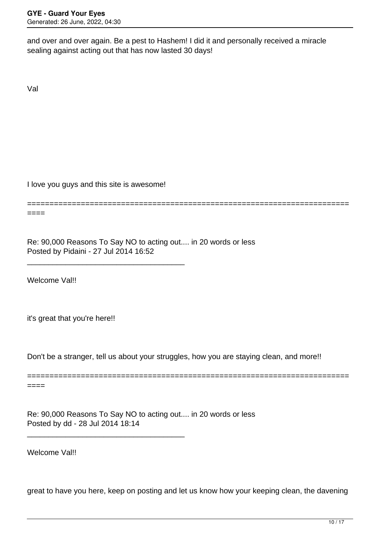and over and over again. Be a pest to Hashem! I did it and personally received a miracle sealing against acting out that has now lasted 30 days!

Val

I love you guys and this site is awesome!

\_\_\_\_\_\_\_\_\_\_\_\_\_\_\_\_\_\_\_\_\_\_\_\_\_\_\_\_\_\_\_\_\_\_\_\_\_

\_\_\_\_\_\_\_\_\_\_\_\_\_\_\_\_\_\_\_\_\_\_\_\_\_\_\_\_\_\_\_\_\_\_\_\_\_

========================================================================

 $====$ 

Re: 90,000 Reasons To Say NO to acting out.... in 20 words or less Posted by Pidaini - 27 Jul 2014 16:52

Welcome Val!!

it's great that you're here!!

Don't be a stranger, tell us about your struggles, how you are staying clean, and more!!

======================================================================== ====

Re: 90,000 Reasons To Say NO to acting out.... in 20 words or less Posted by dd - 28 Jul 2014 18:14

Welcome Val!!

great to have you here, keep on posting and let us know how your keeping clean, the davening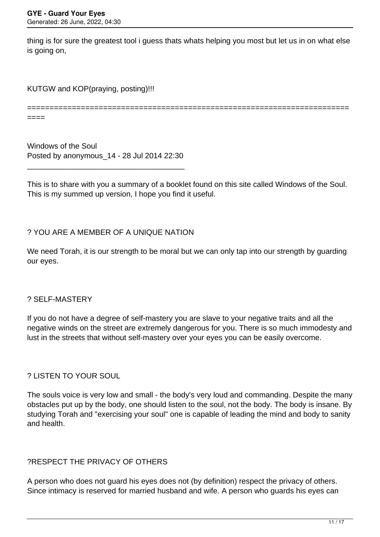thing is for sure the greatest tool i guess thats whats helping you most but let us in on what else is going on,

KUTGW and KOP(praying, posting)!!!

========================================================================

====

Windows of the Soul Posted by anonymous\_14 - 28 Jul 2014 22:30

\_\_\_\_\_\_\_\_\_\_\_\_\_\_\_\_\_\_\_\_\_\_\_\_\_\_\_\_\_\_\_\_\_\_\_\_\_

This is to share with you a summary of a booklet found on this site called Windows of the Soul. This is my summed up version, I hope you find it useful.

## ? YOU ARE A MEMBER OF A UNIQUE NATION

We need Torah, it is our strength to be moral but we can only tap into our strength by quarding our eyes.

#### ? SELF-MASTERY

If you do not have a degree of self-mastery you are slave to your negative traits and all the negative winds on the street are extremely dangerous for you. There is so much immodesty and lust in the streets that without self-mastery over your eyes you can be easily overcome.

## ? LISTEN TO YOUR SOUL

The souls voice is very low and small - the body's very loud and commanding. Despite the many obstacles put up by the body, one should listen to the soul, not the body. The body is insane. By studying Torah and "exercising your soul" one is capable of leading the mind and body to sanity and health.

## ?RESPECT THE PRIVACY OF OTHERS

A person who does not guard his eyes does not (by definition) respect the privacy of others. Since intimacy is reserved for married husband and wife. A person who guards his eyes can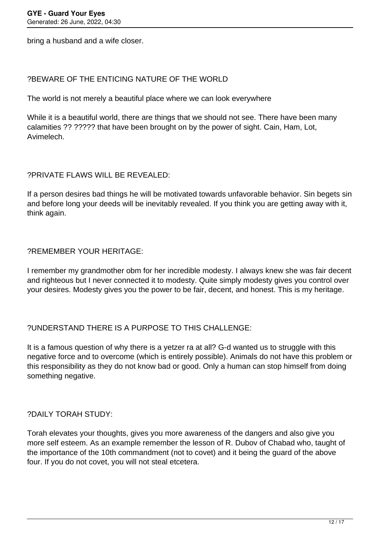bring a husband and a wife closer.

## ?BEWARE OF THE ENTICING NATURE OF THE WORLD

The world is not merely a beautiful place where we can look everywhere

While it is a beautiful world, there are things that we should not see. There have been many calamities ?? ????? that have been brought on by the power of sight. Cain, Ham, Lot, Avimelech.

## ?PRIVATE FLAWS WILL BE REVEALED:

If a person desires bad things he will be motivated towards unfavorable behavior. Sin begets sin and before long your deeds will be inevitably revealed. If you think you are getting away with it, think again.

## ?REMEMBER YOUR HERITAGE:

I remember my grandmother obm for her incredible modesty. I always knew she was fair decent and righteous but I never connected it to modesty. Quite simply modesty gives you control over your desires. Modesty gives you the power to be fair, decent, and honest. This is my heritage.

## ?UNDERSTAND THERE IS A PURPOSE TO THIS CHALLENGE:

It is a famous question of why there is a yetzer ra at all? G-d wanted us to struggle with this negative force and to overcome (which is entirely possible). Animals do not have this problem or this responsibility as they do not know bad or good. Only a human can stop himself from doing something negative.

## ?DAILY TORAH STUDY:

Torah elevates your thoughts, gives you more awareness of the dangers and also give you more self esteem. As an example remember the lesson of R. Dubov of Chabad who, taught of the importance of the 10th commandment (not to covet) and it being the guard of the above four. If you do not covet, you will not steal etcetera.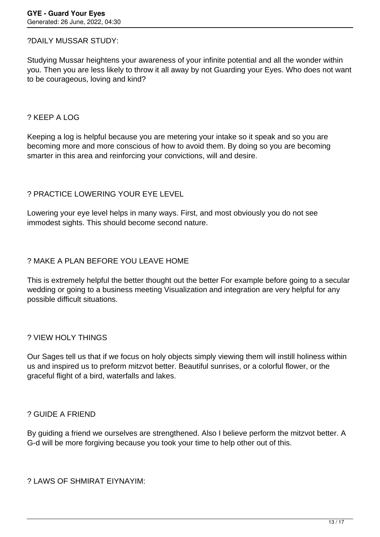### ?DAILY MUSSAR STUDY:

Studying Mussar heightens your awareness of your infinite potential and all the wonder within you. Then you are less likely to throw it all away by not Guarding your Eyes. Who does not want to be courageous, loving and kind?

### ? KEEP A LOG

Keeping a log is helpful because you are metering your intake so it speak and so you are becoming more and more conscious of how to avoid them. By doing so you are becoming smarter in this area and reinforcing your convictions, will and desire.

## ? PRACTICE LOWERING YOUR EYE LEVEL

Lowering your eye level helps in many ways. First, and most obviously you do not see immodest sights. This should become second nature.

## ? MAKE A PLAN BEFORE YOU LEAVE HOME

This is extremely helpful the better thought out the better For example before going to a secular wedding or going to a business meeting Visualization and integration are very helpful for any possible difficult situations.

#### ? VIEW HOLY THINGS

Our Sages tell us that if we focus on holy objects simply viewing them will instill holiness within us and inspired us to preform mitzvot better. Beautiful sunrises, or a colorful flower, or the graceful flight of a bird, waterfalls and lakes.

#### ? GUIDE A FRIEND

By guiding a friend we ourselves are strengthened. Also I believe perform the mitzvot better. A G-d will be more forgiving because you took your time to help other out of this.

? LAWS OF SHMIRAT EIYNAYIM: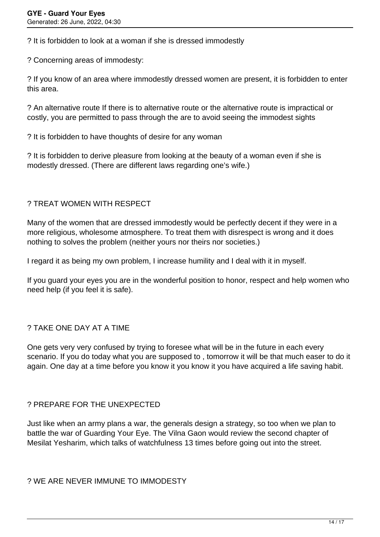? It is forbidden to look at a woman if she is dressed immodestly

? Concerning areas of immodesty:

? If you know of an area where immodestly dressed women are present, it is forbidden to enter this area.

? An alternative route If there is to alternative route or the alternative route is impractical or costly, you are permitted to pass through the are to avoid seeing the immodest sights

? It is forbidden to have thoughts of desire for any woman

? It is forbidden to derive pleasure from looking at the beauty of a woman even if she is modestly dressed. (There are different laws regarding one's wife.)

## ? TREAT WOMEN WITH RESPECT

Many of the women that are dressed immodestly would be perfectly decent if they were in a more religious, wholesome atmosphere. To treat them with disrespect is wrong and it does nothing to solves the problem (neither yours nor theirs nor societies.)

I regard it as being my own problem, I increase humility and I deal with it in myself.

If you guard your eyes you are in the wonderful position to honor, respect and help women who need help (if you feel it is safe).

## ? TAKE ONE DAY AT A TIME

One gets very very confused by trying to foresee what will be in the future in each every scenario. If you do today what you are supposed to , tomorrow it will be that much easer to do it again. One day at a time before you know it you know it you have acquired a life saving habit.

## ? PREPARE FOR THE UNEXPECTED

Just like when an army plans a war, the generals design a strategy, so too when we plan to battle the war of Guarding Your Eye. The Vilna Gaon would review the second chapter of Mesilat Yesharim, which talks of watchfulness 13 times before going out into the street.

? WE ARE NEVER IMMUNE TO IMMODESTY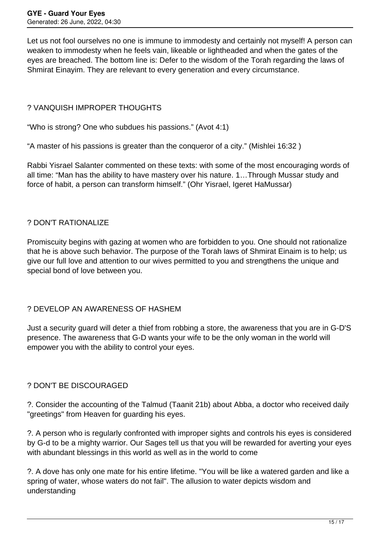Let us not fool ourselves no one is immune to immodesty and certainly not myself! A person can weaken to immodesty when he feels vain, likeable or lightheaded and when the gates of the eyes are breached. The bottom line is: Defer to the wisdom of the Torah regarding the laws of Shmirat Einayim. They are relevant to every generation and every circumstance.

## ? VANQUISH IMPROPER THOUGHTS

"Who is strong? One who subdues his passions." (Avot 4:1)

"A master of his passions is greater than the conqueror of a city." (Mishlei 16:32 )

Rabbi Yisrael Salanter commented on these texts: with some of the most encouraging words of all time: "Man has the ability to have mastery over his nature. 1…Through Mussar study and force of habit, a person can transform himself." (Ohr Yisrael, Igeret HaMussar)

### ? DON'T RATIONALIZE

Promiscuity begins with gazing at women who are forbidden to you. One should not rationalize that he is above such behavior. The purpose of the Torah laws of Shmirat Einaim is to help; us give our full love and attention to our wives permitted to you and strengthens the unique and special bond of love between you.

## ? DEVELOP AN AWARENESS OF HASHEM

Just a security guard will deter a thief from robbing a store, the awareness that you are in G-D'S presence. The awareness that G-D wants your wife to be the only woman in the world will empower you with the ability to control your eyes.

## ? DON'T BE DISCOURAGED

?. Consider the accounting of the Talmud (Taanit 21b) about Abba, a doctor who received daily "greetings" from Heaven for guarding his eyes.

?. A person who is regularly confronted with improper sights and controls his eyes is considered by G-d to be a mighty warrior. Our Sages tell us that you will be rewarded for averting your eyes with abundant blessings in this world as well as in the world to come

?. A dove has only one mate for his entire lifetime. "You will be like a watered garden and like a spring of water, whose waters do not fail". The allusion to water depicts wisdom and understanding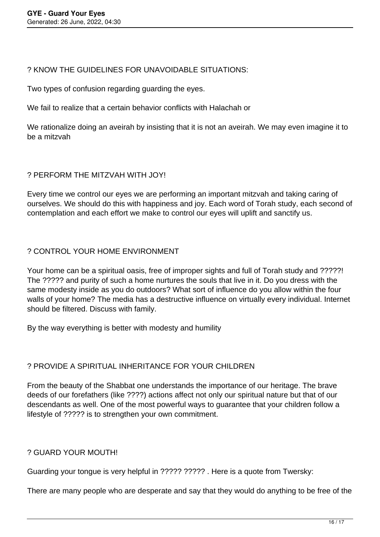## ? KNOW THE GUIDELINES FOR UNAVOIDABLE SITUATIONS:

Two types of confusion regarding guarding the eyes.

We fail to realize that a certain behavior conflicts with Halachah or

We rationalize doing an aveirah by insisting that it is not an aveirah. We may even imagine it to be a mitzvah

# ? PERFORM THE MITZVAH WITH JOY!

Every time we control our eyes we are performing an important mitzvah and taking caring of ourselves. We should do this with happiness and joy. Each word of Torah study, each second of contemplation and each effort we make to control our eyes will uplift and sanctify us.

## ? CONTROL YOUR HOME ENVIRONMENT

Your home can be a spiritual oasis, free of improper sights and full of Torah study and ?????! The ????? and purity of such a home nurtures the souls that live in it. Do you dress with the same modesty inside as you do outdoors? What sort of influence do you allow within the four walls of your home? The media has a destructive influence on virtually every individual. Internet should be filtered. Discuss with family.

By the way everything is better with modesty and humility

# ? PROVIDE A SPIRITUAL INHERITANCE FOR YOUR CHILDREN

From the beauty of the Shabbat one understands the importance of our heritage. The brave deeds of our forefathers (like ????) actions affect not only our spiritual nature but that of our descendants as well. One of the most powerful ways to guarantee that your children follow a lifestyle of ????? is to strengthen your own commitment.

## ? GUARD YOUR MOUTH!

Guarding your tongue is very helpful in ????? ????? . Here is a quote from Twersky:

There are many people who are desperate and say that they would do anything to be free of the